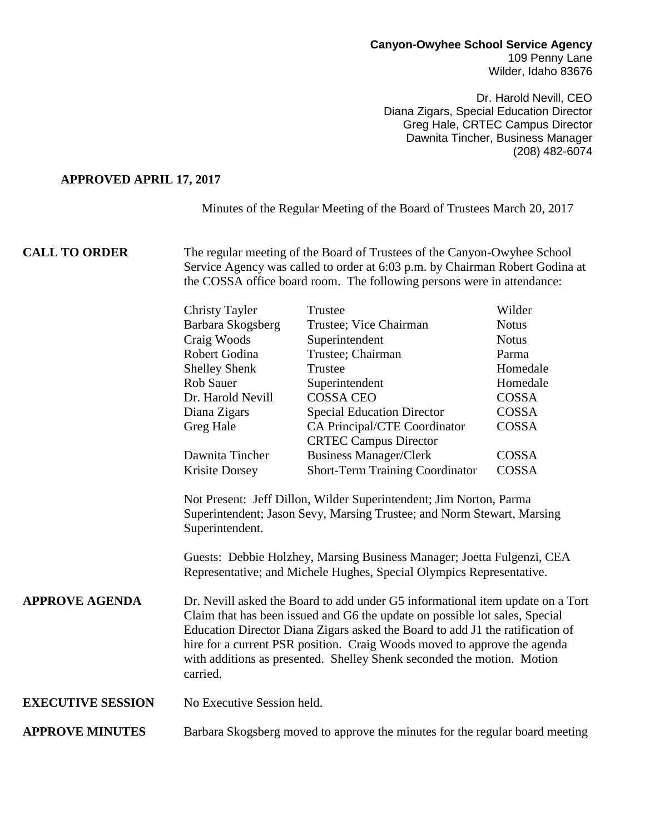## **Canyon-Owyhee School Service Agency** 109 Penny Lane Wilder, Idaho 83676

Dr. Harold Nevill, CEO Diana Zigars, Special Education Director Greg Hale, CRTEC Campus Director Dawnita Tincher, Business Manager (208) 482-6074

## **APPROVED APRIL 17, 2017**

Minutes of the Regular Meeting of the Board of Trustees March 20, 2017

**CALL TO ORDER** The regular meeting of the Board of Trustees of the Canyon-Owyhee School Service Agency was called to order at 6:03 p.m. by Chairman Robert Godina at the COSSA office board room. The following persons were in attendance:

|                          | <b>Christy Tayler</b>                                                                                                                                                                                                                                                                                                                                                                                                                                                                                                                                                                                                                                                                                                                 | Trustee                                                                      | Wilder       |
|--------------------------|---------------------------------------------------------------------------------------------------------------------------------------------------------------------------------------------------------------------------------------------------------------------------------------------------------------------------------------------------------------------------------------------------------------------------------------------------------------------------------------------------------------------------------------------------------------------------------------------------------------------------------------------------------------------------------------------------------------------------------------|------------------------------------------------------------------------------|--------------|
|                          | Barbara Skogsberg                                                                                                                                                                                                                                                                                                                                                                                                                                                                                                                                                                                                                                                                                                                     | Trustee; Vice Chairman                                                       | <b>Notus</b> |
|                          | Craig Woods                                                                                                                                                                                                                                                                                                                                                                                                                                                                                                                                                                                                                                                                                                                           | Superintendent                                                               | <b>Notus</b> |
|                          | Robert Godina                                                                                                                                                                                                                                                                                                                                                                                                                                                                                                                                                                                                                                                                                                                         | Trustee; Chairman                                                            | Parma        |
|                          | <b>Shelley Shenk</b>                                                                                                                                                                                                                                                                                                                                                                                                                                                                                                                                                                                                                                                                                                                  | Trustee                                                                      | Homedale     |
|                          | <b>Rob Sauer</b>                                                                                                                                                                                                                                                                                                                                                                                                                                                                                                                                                                                                                                                                                                                      | Superintendent                                                               | Homedale     |
|                          | Dr. Harold Nevill                                                                                                                                                                                                                                                                                                                                                                                                                                                                                                                                                                                                                                                                                                                     | <b>COSSA CEO</b>                                                             | COSSA        |
|                          | Diana Zigars                                                                                                                                                                                                                                                                                                                                                                                                                                                                                                                                                                                                                                                                                                                          | <b>Special Education Director</b>                                            | <b>COSSA</b> |
|                          | Greg Hale                                                                                                                                                                                                                                                                                                                                                                                                                                                                                                                                                                                                                                                                                                                             | CA Principal/CTE Coordinator                                                 | <b>COSSA</b> |
|                          |                                                                                                                                                                                                                                                                                                                                                                                                                                                                                                                                                                                                                                                                                                                                       | <b>CRTEC Campus Director</b>                                                 |              |
|                          | Dawnita Tincher                                                                                                                                                                                                                                                                                                                                                                                                                                                                                                                                                                                                                                                                                                                       | <b>Business Manager/Clerk</b>                                                | <b>COSSA</b> |
|                          | Krisite Dorsey                                                                                                                                                                                                                                                                                                                                                                                                                                                                                                                                                                                                                                                                                                                        | Short-Term Training Coordinator                                              | <b>COSSA</b> |
| <b>APPROVE AGENDA</b>    | Not Present: Jeff Dillon, Wilder Superintendent; Jim Norton, Parma<br>Superintendent; Jason Sevy, Marsing Trustee; and Norm Stewart, Marsing<br>Superintendent.<br>Guests: Debbie Holzhey, Marsing Business Manager; Joetta Fulgenzi, CEA<br>Representative; and Michele Hughes, Special Olympics Representative.<br>Dr. Nevill asked the Board to add under G5 informational item update on a Tort<br>Claim that has been issued and G6 the update on possible lot sales, Special<br>Education Director Diana Zigars asked the Board to add J1 the ratification of<br>hire for a current PSR position. Craig Woods moved to approve the agenda<br>with additions as presented. Shelley Shenk seconded the motion. Motion<br>carried. |                                                                              |              |
| <b>EXECUTIVE SESSION</b> | No Executive Session held.                                                                                                                                                                                                                                                                                                                                                                                                                                                                                                                                                                                                                                                                                                            |                                                                              |              |
| <b>APPROVE MINUTES</b>   |                                                                                                                                                                                                                                                                                                                                                                                                                                                                                                                                                                                                                                                                                                                                       | Barbara Skogsberg moved to approve the minutes for the regular board meeting |              |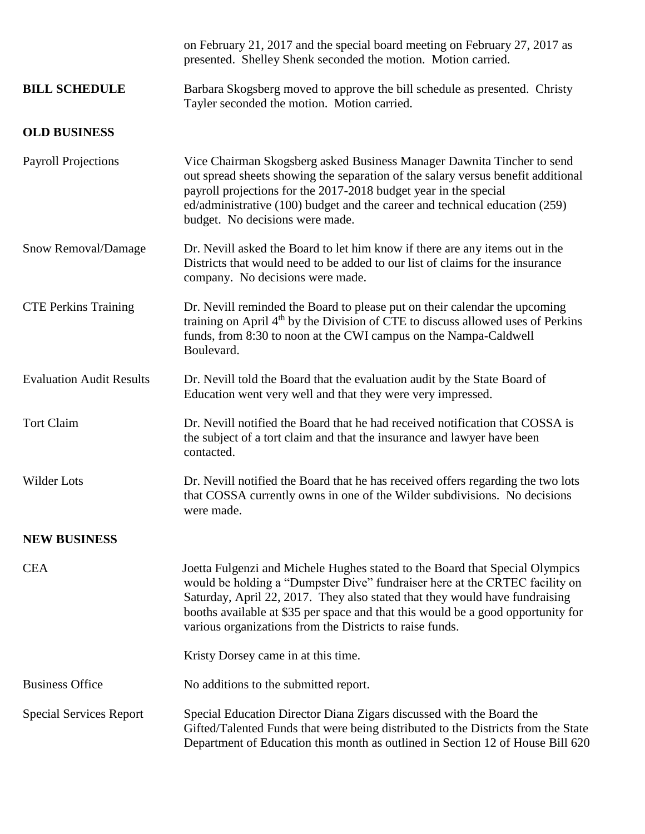|                                 | on February 21, 2017 and the special board meeting on February 27, 2017 as<br>presented. Shelley Shenk seconded the motion. Motion carried.                                                                                                                                                                                                                                                |
|---------------------------------|--------------------------------------------------------------------------------------------------------------------------------------------------------------------------------------------------------------------------------------------------------------------------------------------------------------------------------------------------------------------------------------------|
| <b>BILL SCHEDULE</b>            | Barbara Skogsberg moved to approve the bill schedule as presented. Christy<br>Tayler seconded the motion. Motion carried.                                                                                                                                                                                                                                                                  |
| <b>OLD BUSINESS</b>             |                                                                                                                                                                                                                                                                                                                                                                                            |
| <b>Payroll Projections</b>      | Vice Chairman Skogsberg asked Business Manager Dawnita Tincher to send<br>out spread sheets showing the separation of the salary versus benefit additional<br>payroll projections for the 2017-2018 budget year in the special<br>ed/administrative (100) budget and the career and technical education (259)<br>budget. No decisions were made.                                           |
| Snow Removal/Damage             | Dr. Nevill asked the Board to let him know if there are any items out in the<br>Districts that would need to be added to our list of claims for the insurance<br>company. No decisions were made.                                                                                                                                                                                          |
| <b>CTE Perkins Training</b>     | Dr. Nevill reminded the Board to please put on their calendar the upcoming<br>training on April 4 <sup>th</sup> by the Division of CTE to discuss allowed uses of Perkins<br>funds, from 8:30 to noon at the CWI campus on the Nampa-Caldwell<br>Boulevard.                                                                                                                                |
| <b>Evaluation Audit Results</b> | Dr. Nevill told the Board that the evaluation audit by the State Board of<br>Education went very well and that they were very impressed.                                                                                                                                                                                                                                                   |
| <b>Tort Claim</b>               | Dr. Nevill notified the Board that he had received notification that COSSA is<br>the subject of a tort claim and that the insurance and lawyer have been<br>contacted.                                                                                                                                                                                                                     |
| Wilder Lots                     | Dr. Nevill notified the Board that he has received offers regarding the two lots<br>that COSSA currently owns in one of the Wilder subdivisions. No decisions<br>were made.                                                                                                                                                                                                                |
| <b>NEW BUSINESS</b>             |                                                                                                                                                                                                                                                                                                                                                                                            |
| <b>CEA</b>                      | Joetta Fulgenzi and Michele Hughes stated to the Board that Special Olympics<br>would be holding a "Dumpster Dive" fundraiser here at the CRTEC facility on<br>Saturday, April 22, 2017. They also stated that they would have fundraising<br>booths available at \$35 per space and that this would be a good opportunity for<br>various organizations from the Districts to raise funds. |
|                                 | Kristy Dorsey came in at this time.                                                                                                                                                                                                                                                                                                                                                        |
| <b>Business Office</b>          | No additions to the submitted report.                                                                                                                                                                                                                                                                                                                                                      |
| <b>Special Services Report</b>  | Special Education Director Diana Zigars discussed with the Board the<br>Gifted/Talented Funds that were being distributed to the Districts from the State<br>Department of Education this month as outlined in Section 12 of House Bill 620                                                                                                                                                |